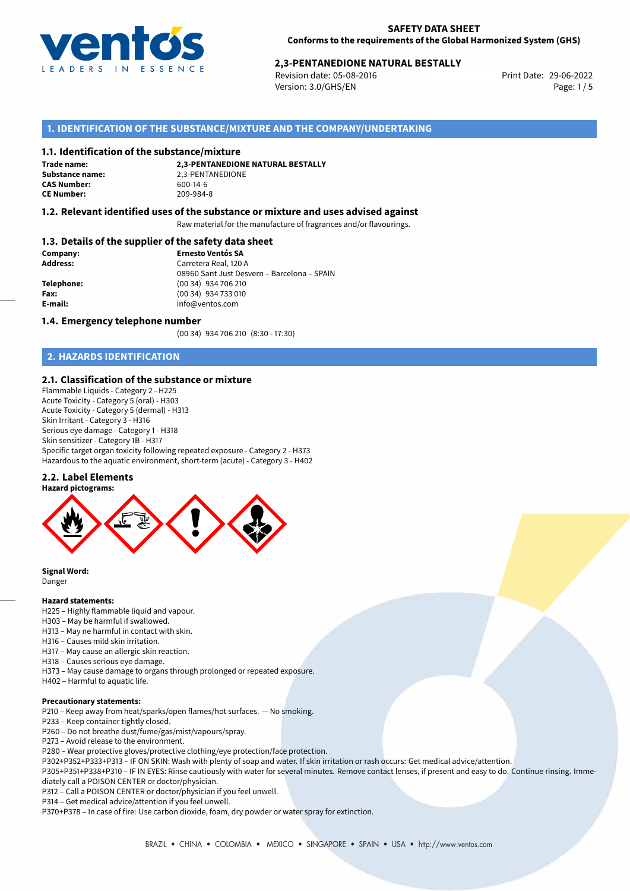

# **2,3-PENTANEDIONE NATURAL BESTALLY**<br>Revision date: 05-08-2016<br>Print Date: 29-06-2022

Revision date: 05-08-2016 Version: 3.0/GHS/EN Page: 1/5

# **1. IDENTIFICATION OF THE SUBSTANCE/MIXTURE AND THE COMPANY/UNDERTAKING**

### **1.1. Identification of the substance/mixture**

**Trade name: CAS Number: CE Number:** 209-984-8

**2,3-PENTANEDIONE NATURAL BESTALLY Substance name:** 2,3-PENTANEDIONE<br> **CAS Number:** 600-14-6

## **1.2. Relevant identified uses of the substance or mixture and uses advised against**

Raw material for the manufacture of fragrances and/or flavourings.

# **1.3. Details of the supplier of the safety data sheet**

| Company:        | <b>Ernesto Ventós SA</b>                    |  |  |
|-----------------|---------------------------------------------|--|--|
| <b>Address:</b> | Carretera Real, 120 A                       |  |  |
|                 | 08960 Sant Just Desvern - Barcelona - SPAIN |  |  |
| Telephone:      | (00 34) 934 706 210                         |  |  |
| Fax:            | (00 34) 934 733 010                         |  |  |
| E-mail:         | info@ventos.com                             |  |  |
|                 |                                             |  |  |

### **1.4. Emergency telephone number**

(00 34) 934 706 210 (8:30 - 17:30)

# **2. HAZARDS IDENTIFICATION**

## **2.1. Classification of the substance or mixture**

Flammable Liquids - Category 2 - H225 Acute Toxicity - Category 5 (oral) - H303 Acute Toxicity - Category 5 (dermal) - H313 Skin Irritant - Category 3 - H316 Serious eye damage - Category 1 - H318 Skin sensitizer - Category 1B - H317 Specific target organ toxicity following repeated exposure - Category 2 - H373 Hazardous to the aquatic environment, short-term (acute) - Category 3 - H402

### **2.2. Label Elements**



**Signal Word:**

Danger

#### **Hazard statements:**

- H225 Highly flammable liquid and vapour.
- H303 May be harmful if swallowed.
- H313 May ne harmful in contact with skin.
- H316 Causes mild skin irritation.
- H317 May cause an allergic skin reaction.
- H318 Causes serious eye damage.
- H373 May cause damage to organs through prolonged or repeated exposure.
- H402 Harmful to aquatic life.

## **Precautionary statements:**

- P210 Keep away from heat/sparks/open flames/hot surfaces. No smoking.
- P233 Keep container tightly closed.
- P260 Do not breathe dust/fume/gas/mist/vapours/spray.
- P273 Avoid release to the environment.
- P280 Wear protective gloves/protective clothing/eye protection/face protection.
- P302+P352+P333+P313 IF ON SKIN: Wash with plenty of soap and water. If skin irritation or rash occurs: Get medical advice/attention.
- P305+P351+P338+P310 IF IN EYES: Rinse cautiously with water for several minutes. Remove contact lenses, if present and easy to do. Continue rinsing. Immediately call a POISON CENTER or doctor/physician.
- P312 Call a POISON CENTER or doctor/physician if you feel unwell.
- P314 Get medical advice/attention if you feel unwell.
- P370+P378 In case of fire: Use carbon dioxide, foam, dry powder or water spray for extinction.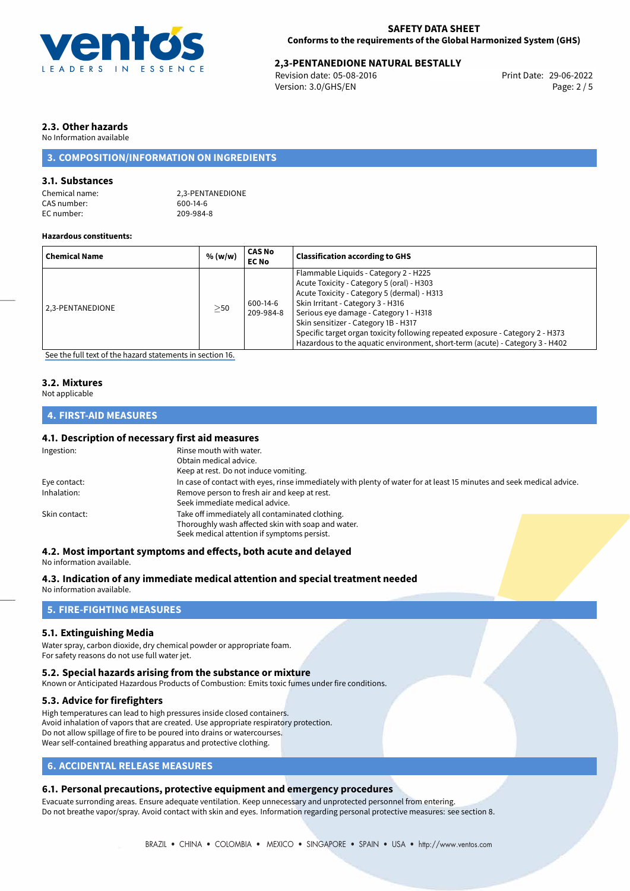

# **2,3-PENTANEDIONE NATURAL BESTALLY**<br>Revision date: 05-08-2016<br>Print Date: 29-06-2022

Revision date: 05-08-2016 Version: 3.0/GHS/EN Page: 2 / 5

# **2.3. Other hazards**

No Information available

# **3. COMPOSITION/INFORMATION ON INGREDIENTS**

# **3.1. Substances**

| Chemical name: |  |
|----------------|--|
| CAS number:    |  |
| EC number:     |  |

2.3-PENTANEDIONE  $600-14-6$ 209-984-8

## **Hazardous constituents:**

| <b>Chemical Name</b>                                                                                                                                                                                                                                | % (w/w)   | CAS No<br><b>EC No</b> | <b>Classification according to GHS</b>                                                                                                                                                                                                                                                                                                                                                                                     |
|-----------------------------------------------------------------------------------------------------------------------------------------------------------------------------------------------------------------------------------------------------|-----------|------------------------|----------------------------------------------------------------------------------------------------------------------------------------------------------------------------------------------------------------------------------------------------------------------------------------------------------------------------------------------------------------------------------------------------------------------------|
| 2.3-PENTANEDIONE<br>$\sim$ . The set of the set of the set of the set of the set of the set of the set of the set of the set of the set of the set of the set of the set of the set of the set of the set of the set of the set of the set of the s | $\geq$ 50 | 600-14-6<br>209-984-8  | Flammable Liquids - Category 2 - H225<br>Acute Toxicity - Category 5 (oral) - H303<br>Acute Toxicity - Category 5 (dermal) - H313<br>Skin Irritant - Category 3 - H316<br>Serious eye damage - Category 1 - H318<br>Skin sensitizer - Category 1B - H317<br>Specific target organ toxicity following repeated exposure - Category 2 - H373<br>Hazardous to the aquatic environment, short-term (acute) - Category 3 - H402 |

[See the full text of the hazard statements in section 16.](#page-4-0)

# **3.2. Mixtures**

Not applicable

# **4. FIRST-AID MEASURES**

# **4.1. Description of necessary first aid measures**

| Ingestion:    | Rinse mouth with water.<br>Obtain medical advice.                                                                                                    |  |  |
|---------------|------------------------------------------------------------------------------------------------------------------------------------------------------|--|--|
|               | Keep at rest. Do not induce vomiting.                                                                                                                |  |  |
| Eye contact:  | In case of contact with eyes, rinse immediately with plenty of water for at least 15 minutes and seek medical advice.                                |  |  |
| Inhalation:   | Remove person to fresh air and keep at rest.<br>Seek immediate medical advice.                                                                       |  |  |
| Skin contact: | Take off immediately all contaminated clothing.<br>Thoroughly wash affected skin with soap and water.<br>Seek medical attention if symptoms persist. |  |  |

## **4.2. Most important symptoms and effects, both acute and delayed**

No information available.

**4.3. Indication of any immediate medical attention and special treatment needed**

No information available.

# **5. FIRE-FIGHTING MEASURES**

# **5.1. Extinguishing Media**

Water spray, carbon dioxide, dry chemical powder or appropriate foam. For safety reasons do not use full water jet.

# **5.2. Special hazards arising from the substance or mixture**

Known or Anticipated Hazardous Products of Combustion: Emits toxic fumes under fire conditions.

# **5.3. Advice for firefighters**

High temperatures can lead to high pressures inside closed containers. Avoid inhalation of vapors that are created. Use appropriate respiratory protection. Do not allow spillage of fire to be poured into drains or watercourses. Wear self-contained breathing apparatus and protective clothing.

# **6. ACCIDENTAL RELEASE MEASURES**

# **6.1. Personal precautions, protective equipment and emergency procedures**

Evacuate surronding areas. Ensure adequate ventilation. Keep unnecessary and unprotected personnel from entering. Do not breathe vapor/spray. Avoid contact with skin and eyes. Information regarding personal protective measures: see section 8.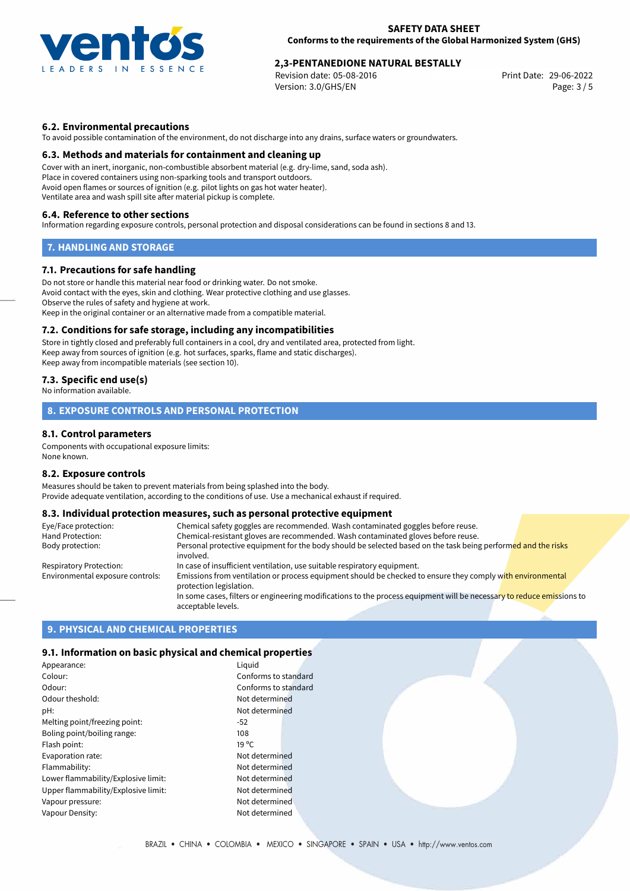

# **2,3-PENTANEDIONE NATURAL BESTALLY**<br>Revision date: 05-08-2016<br>Print Date: 29-06-2022

Revision date: 05-08-2016 Version: 3.0/GHS/EN Page: 3 / 5

# **6.2. Environmental precautions**

To avoid possible contamination of the environment, do not discharge into any drains, surface waters or groundwaters.

## **6.3. Methods and materials for containment and cleaning up**

Cover with an inert, inorganic, non-combustible absorbent material (e.g. dry-lime, sand, soda ash). Place in covered containers using non-sparking tools and transport outdoors. Avoid open flames or sources of ignition (e.g. pilot lights on gas hot water heater). Ventilate area and wash spill site after material pickup is complete.

### **6.4. Reference to other sections**

Information regarding exposure controls, personal protection and disposal considerations can be found in sections 8 and 13.

# **7. HANDLING AND STORAGE**

## **7.1. Precautions for safe handling**

Do not store or handle this material near food or drinking water. Do not smoke. Avoid contact with the eyes, skin and clothing. Wear protective clothing and use glasses. Observe the rules of safety and hygiene at work. Keep in the original container or an alternative made from a compatible material.

### **7.2. Conditions for safe storage, including any incompatibilities**

Store in tightly closed and preferably full containers in a cool, dry and ventilated area, protected from light. Keep away from sources of ignition (e.g. hot surfaces, sparks, flame and static discharges). Keep away from incompatible materials (see section 10).

# **7.3. Specific end use(s)**

No information available.

# **8. EXPOSURE CONTROLS AND PERSONAL PROTECTION**

## **8.1. Control parameters**

Components with occupational exposure limits: None known.

### **8.2. Exposure controls**

Measures should be taken to prevent materials from being splashed into the body. Provide adequate ventilation, according to the conditions of use. Use a mechanical exhaust if required.

# **8.3. Individual protection measures, such as personal protective equipment**

| Eye/Face protection:             | Chemical safety goggles are recommended. Wash contaminated goggles before reuse.                                                            |
|----------------------------------|---------------------------------------------------------------------------------------------------------------------------------------------|
| Hand Protection:                 | Chemical-resistant gloves are recommended. Wash contaminated gloves before reuse.                                                           |
| Body protection:                 | Personal protective equipment for the body should be selected based on the task being performed and the risks                               |
|                                  | involved.                                                                                                                                   |
| Respiratory Protection:          | In case of insufficient ventilation, use suitable respiratory equipment.                                                                    |
| Environmental exposure controls: | Emissions from ventilation or process equipment should be checked to ensure they comply with environmental<br>protection legislation.       |
|                                  | In some cases, filters or engineering modifications to the process equipment will be necessary to reduce emissions to<br>acceptable levels. |

# **9. PHYSICAL AND CHEMICAL PROPERTIES**

## **9.1. Information on basic physical and chemical properties**

| Appearance:                         | Liguid               |
|-------------------------------------|----------------------|
| Colour:                             | Conforms to standard |
| Odour:                              | Conforms to standard |
| Odour theshold:                     | Not determined       |
| pH:                                 | Not determined       |
| Melting point/freezing point:       | $-52$                |
| Boling point/boiling range:         | 108                  |
| Flash point:                        | $19^{\circ}$ C       |
| Evaporation rate:                   | Not determined       |
| Flammability:                       | Not determined       |
| Lower flammability/Explosive limit: | Not determined       |
| Upper flammability/Explosive limit: | Not determined       |
| Vapour pressure:                    | Not determined       |
| Vapour Density:                     | Not determined       |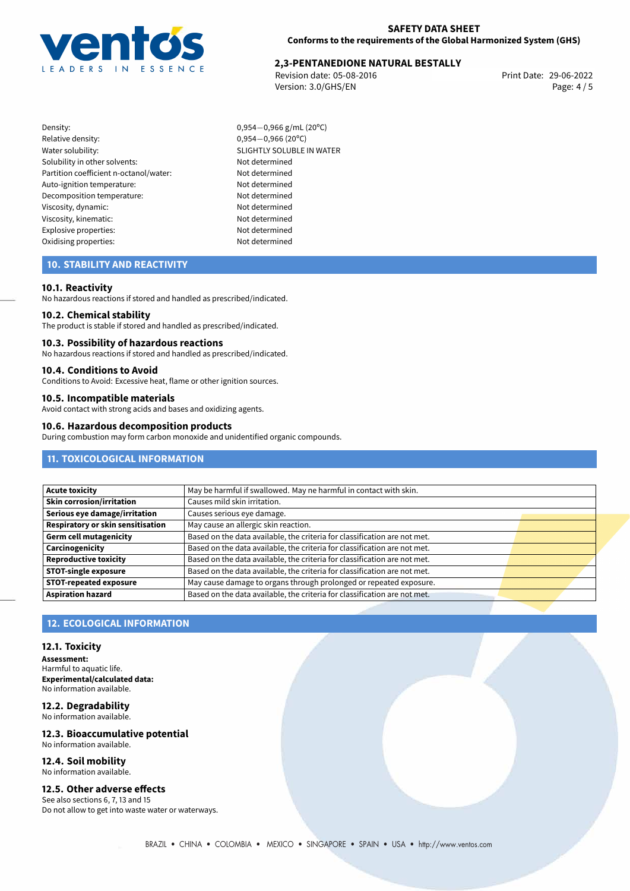

# **2,3-PENTANEDIONE NATURAL BESTALLY**<br>Revision date: 05-08-2016<br>Print Date: 29-06-2022

Revision date: 05-08-2016 Version: 3.0/GHS/EN Page: 4 / 5

- Density: 0,954−0,966 g/mL (20°C)<br>Relative density: 0,954−0,966 (20°C) Relative density: 0,954−0,966 (20°C)<br>Water solubility: 0,954−0,966 (20°C) Solubility in other solvents: Not determined Partition coefficient n-octanol/water: Not determined Auto-ignition temperature: Not determined Decomposition temperature: Not determined Viscosity, dynamic: Not determined Viscosity, kinematic: Not determined Explosive properties: Not determined Oxidising properties: Not determined
	- SLIGHTLY SOLUBLE IN WATER

# **10. STABILITY AND REACTIVITY**

### **10.1. Reactivity**

No hazardous reactions if stored and handled as prescribed/indicated.

### **10.2. Chemical stability**

The product is stable if stored and handled as prescribed/indicated.

#### **10.3. Possibility of hazardous reactions**

No hazardous reactions if stored and handled as prescribed/indicated.

## **10.4. Conditions to Avoid**

Conditions to Avoid: Excessive heat, flame or other ignition sources.

# **10.5. Incompatible materials**

Avoid contact with strong acids and bases and oxidizing agents.

#### **10.6. Hazardous decomposition products**

During combustion may form carbon monoxide and unidentified organic compounds.

# **11. TOXICOLOGICAL INFORMATION**

| <b>Acute toxicity</b>                    | May be harmful if swallowed. May ne harmful in contact with skin.         |  |  |
|------------------------------------------|---------------------------------------------------------------------------|--|--|
| Skin corrosion/irritation                | Causes mild skin irritation.                                              |  |  |
| Serious eye damage/irritation            | Causes serious eye damage.                                                |  |  |
| <b>Respiratory or skin sensitisation</b> | May cause an allergic skin reaction.                                      |  |  |
| Germ cell mutagenicity                   | Based on the data available, the criteria for classification are not met. |  |  |
| Carcinogenicity                          | Based on the data available, the criteria for classification are not met. |  |  |
| Reproductive toxicity                    | Based on the data available, the criteria for classification are not met. |  |  |
| <b>STOT-single exposure</b>              | Based on the data available, the criteria for classification are not met. |  |  |
| <b>STOT-repeated exposure</b>            | May cause damage to organs through prolonged or repeated exposure.        |  |  |
| <b>Aspiration hazard</b>                 | Based on the data available, the criteria for classification are not met. |  |  |

# **12. ECOLOGICAL INFORMATION**

#### **12.1. Toxicity**

**Assessment:** Harmful to aquatic life. **Experimental/calculated data:** No information available.

#### **12.2. Degradability** No information available.

# **12.3. Bioaccumulative potential** No information available.

**12.4. Soil mobility** No information available.

# **12.5. Other adverse effects**

See also sections 6, 7, 13 and 15 Do not allow to get into waste water or waterways.